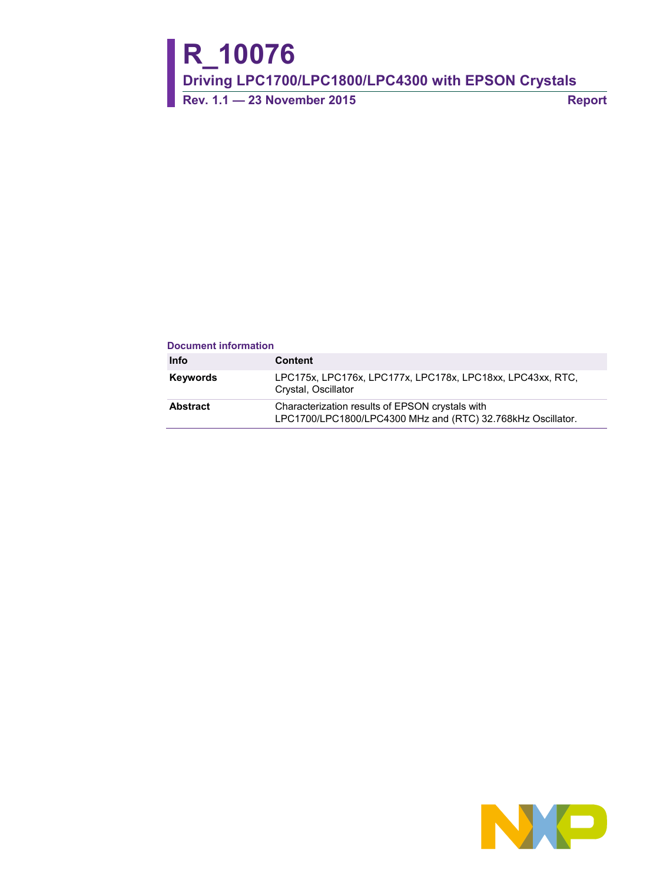# **R\_10076**

**Driving LPC1700/LPC1800/LPC4300 with EPSON Crystals**

**Rev. 1.1 — 23 November 2015 Report**

#### **Document information**

| Info     | <b>Content</b>                                                                                                 |
|----------|----------------------------------------------------------------------------------------------------------------|
| Keywords | LPC175x, LPC176x, LPC177x, LPC178x, LPC18xx, LPC43xx, RTC,<br>Crystal, Oscillator                              |
| Abstract | Characterization results of EPSON crystals with<br>LPC1700/LPC1800/LPC4300 MHz and (RTC) 32.768kHz Oscillator. |

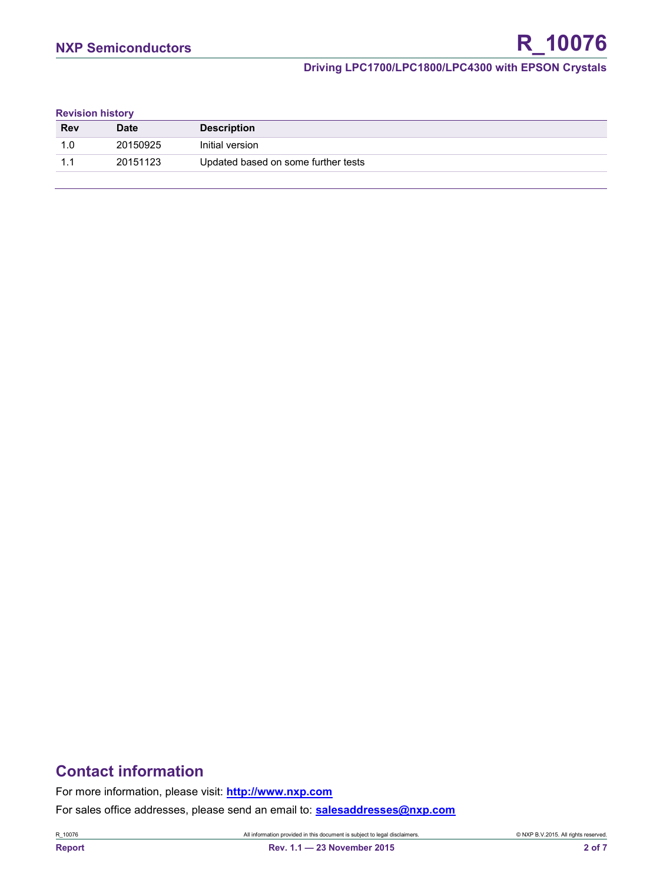#### **Driving LPC1700/LPC1800/LPC4300 with EPSON Crystals**

#### **Revision history**

| <b>Rev</b> | <b>Date</b> | <b>Description</b>                  |
|------------|-------------|-------------------------------------|
| 1.0        | 20150925    | Initial version                     |
|            | 20151123    | Updated based on some further tests |

# **Contact information**

For more information, please visit: **[http://www.nxp.com](http://www.nxp.com/)**

For sales office addresses, please send an email to: **[salesaddresses@nxp.com](mailto:salesaddresses@nxp.com)**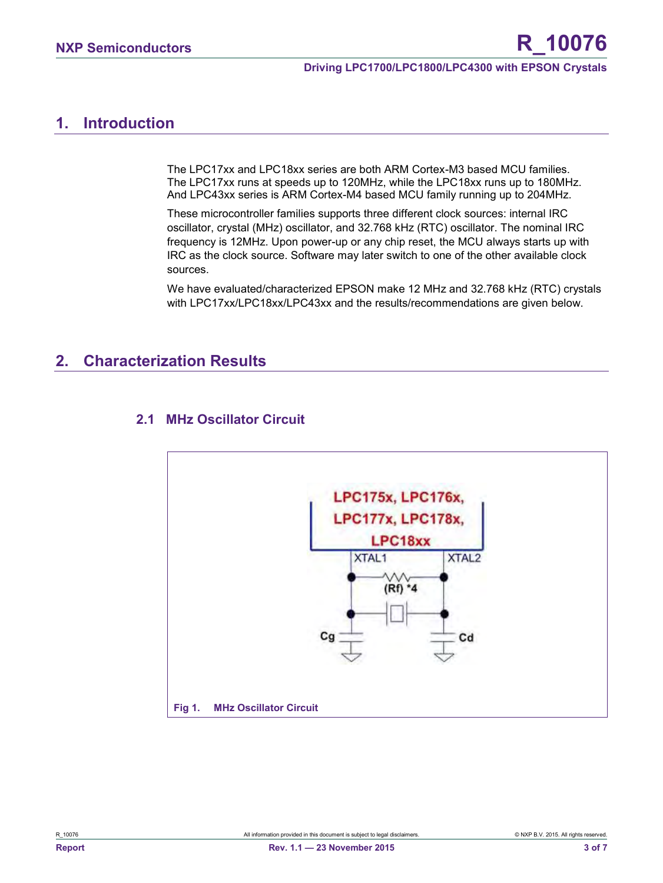#### **Driving LPC1700/LPC1800/LPC4300 with EPSON Crystals**

# <span id="page-2-0"></span>**1. Introduction**

The LPC17xx and LPC18xx series are both ARM Cortex-M3 based MCU families. The LPC17xx runs at speeds up to 120MHz, while the LPC18xx runs up to 180MHz. And LPC43xx series is ARM Cortex-M4 based MCU family running up to 204MHz.

These microcontroller families supports three different clock sources: internal IRC oscillator, crystal (MHz) oscillator, and 32.768 kHz (RTC) oscillator. The nominal IRC frequency is 12MHz. Upon power-up or any chip reset, the MCU always starts up with IRC as the clock source. Software may later switch to one of the other available clock sources.

We have evaluated/characterized EPSON make 12 MHz and 32.768 kHz (RTC) crystals with LPC17xx/LPC18xx/LPC43xx and the results/recommendations are given below.

# <span id="page-2-1"></span>**2. Characterization Results**



#### <span id="page-2-2"></span>**2.1 MHz Oscillator Circuit**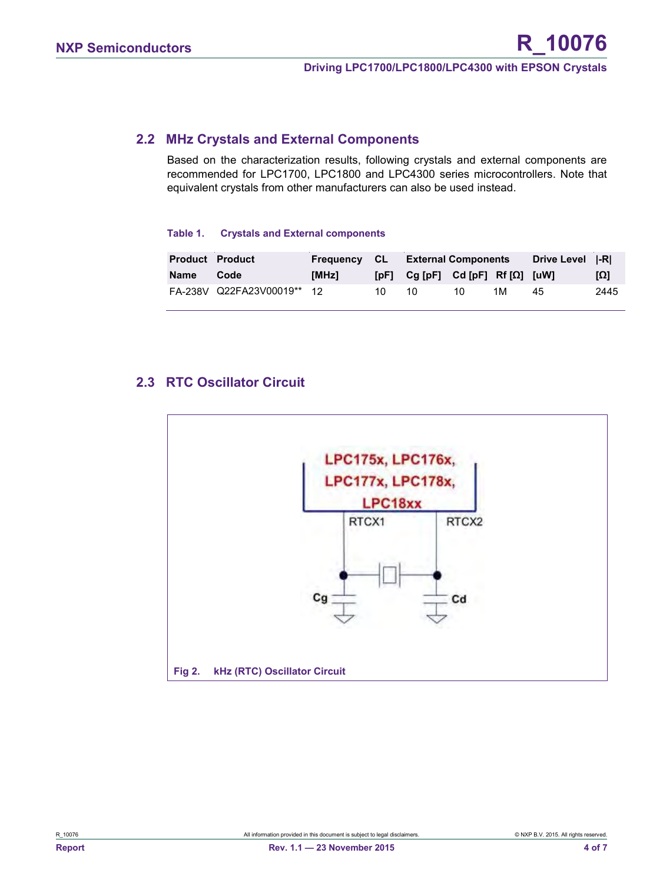#### <span id="page-3-0"></span>**2.2 MHz Crystals and External Components**

Based on the characterization results, following crystals and external components are recommended for LPC1700, LPC1800 and LPC4300 series microcontrollers. Note that equivalent crystals from other manufacturers can also be used instead.

#### **Table 1. Crystals and External components**

| <b>Product Product</b> |                            |       |    | <b>Frequency CL External Components</b>       |    |    | Drive Level  -R |      |
|------------------------|----------------------------|-------|----|-----------------------------------------------|----|----|-----------------|------|
| Name                   | Code                       | [MHz] |    | [pF] $Cg$ [pF] $Cd$ [pF] Rf [ $\Omega$ ] [uW] |    |    |                 | [Ω]  |
|                        | FA-238V Q22FA23V00019** 12 |       | 10 | 10                                            | 10 | 1M | 45              | 2445 |

#### <span id="page-3-1"></span>**2.3 RTC Oscillator Circuit**

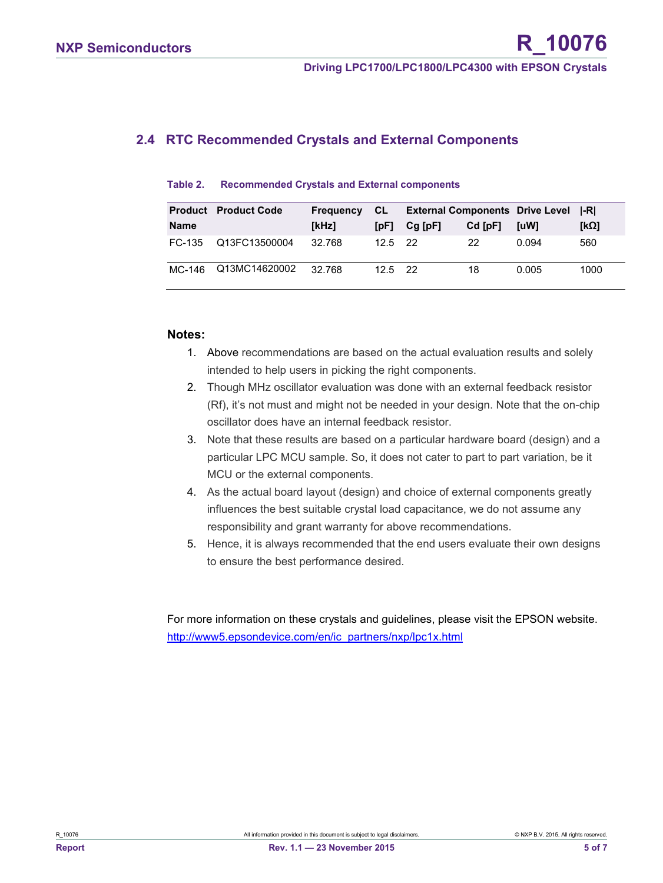## <span id="page-4-0"></span>**2.4 RTC Recommended Crystals and External Components**

| Table 2. | <b>Recommended Crystals and External components</b> |  |  |  |
|----------|-----------------------------------------------------|--|--|--|
|----------|-----------------------------------------------------|--|--|--|

|          | <b>Product</b> Product Code | <b>Frequency CL</b> |            | <b>External Components Drive Level  -R </b> |           |       |      |
|----------|-----------------------------|---------------------|------------|---------------------------------------------|-----------|-------|------|
| Name     |                             | [kHz]               | [pF]       | $Cg$ [pF]                                   | $Cd$ [pF] | [uW]  | [kQ] |
| FC-135   | Q13FC13500004               | 32.768              | $12.5$ 22  |                                             | 22        | 0 094 | 560  |
| $MC-146$ | Q13MC14620002               | 32.768              | $125$ $22$ |                                             | 18        | 0.005 | 1000 |

#### **Notes:**

- 1. Above recommendations are based on the actual evaluation results and solely intended to help users in picking the right components.
- 2. Though MHz oscillator evaluation was done with an external feedback resistor (Rf), it's not must and might not be needed in your design. Note that the on-chip oscillator does have an internal feedback resistor.
- 3. Note that these results are based on a particular hardware board (design) and a particular LPC MCU sample. So, it does not cater to part to part variation, be it MCU or the external components.
- 4. As the actual board layout (design) and choice of external components greatly influences the best suitable crystal load capacitance, we do not assume any responsibility and grant warranty for above recommendations.
- 5. Hence, it is always recommended that the end users evaluate their own designs to ensure the best performance desired.

For more information on these crystals and guidelines, please visit the EPSON website. [http://www5.epsondevice.com/en/ic\\_partners/nxp/lpc1x.html](http://www5.epsondevice.com/en/ic_partners/nxp/lpc1x.html)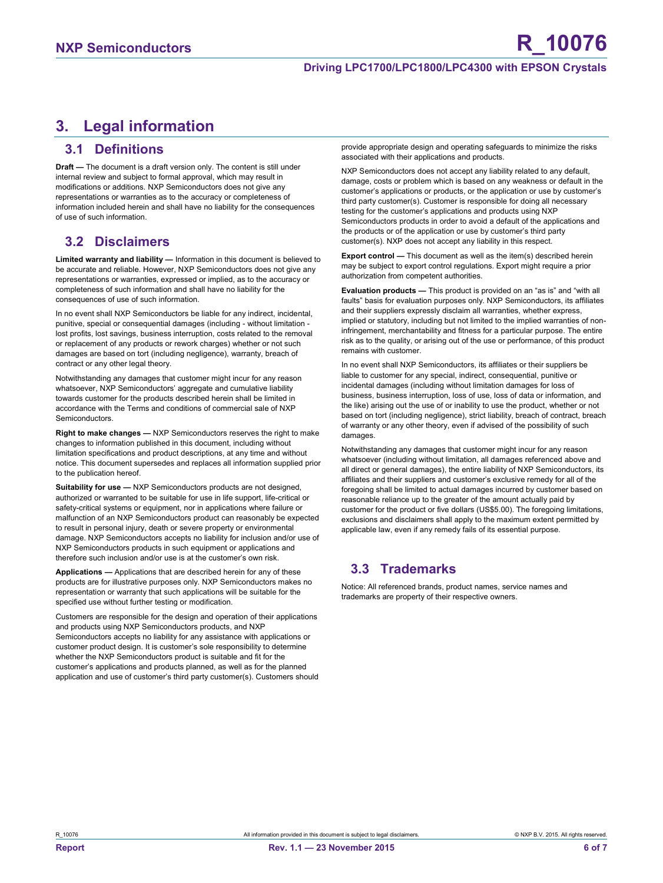# <span id="page-5-0"></span>**3. Legal information**

#### <span id="page-5-1"></span>**3.1 Definitions**

**Draft —** The document is a draft version only. The content is still under internal review and subject to formal approval, which may result in modifications or additions. NXP Semiconductors does not give any representations or warranties as to the accuracy or completeness of information included herein and shall have no liability for the consequences of use of such information.

#### <span id="page-5-2"></span>**3.2 Disclaimers**

**Limited warranty and liability —** Information in this document is believed to be accurate and reliable. However, NXP Semiconductors does not give any representations or warranties, expressed or implied, as to the accuracy or completeness of such information and shall have no liability for the consequences of use of such information.

In no event shall NXP Semiconductors be liable for any indirect, incidental, punitive, special or consequential damages (including - without limitation lost profits, lost savings, business interruption, costs related to the removal or replacement of any products or rework charges) whether or not such damages are based on tort (including negligence), warranty, breach of contract or any other legal theory.

Notwithstanding any damages that customer might incur for any reason whatsoever, NXP Semiconductors' aggregate and cumulative liability towards customer for the products described herein shall be limited in accordance with the Terms and conditions of commercial sale of NXP **Semiconductors** 

**Right to make changes —** NXP Semiconductors reserves the right to make changes to information published in this document, including without limitation specifications and product descriptions, at any time and without notice. This document supersedes and replaces all information supplied prior to the publication hereof.

**Suitability for use - NXP** Semiconductors products are not designed, authorized or warranted to be suitable for use in life support, life-critical or safety-critical systems or equipment, nor in applications where failure or malfunction of an NXP Semiconductors product can reasonably be expected to result in personal injury, death or severe property or environmental damage. NXP Semiconductors accepts no liability for inclusion and/or use of NXP Semiconductors products in such equipment or applications and therefore such inclusion and/or use is at the customer's own risk.

**Applications —** Applications that are described herein for any of these products are for illustrative purposes only. NXP Semiconductors makes no representation or warranty that such applications will be suitable for the specified use without further testing or modification.

Customers are responsible for the design and operation of their applications and products using NXP Semiconductors products, and NXP Semiconductors accepts no liability for any assistance with applications or customer product design. It is customer's sole responsibility to determine whether the NXP Semiconductors product is suitable and fit for the customer's applications and products planned, as well as for the planned application and use of customer's third party customer(s). Customers should provide appropriate design and operating safeguards to minimize the risks associated with their applications and products.

NXP Semiconductors does not accept any liability related to any default, damage, costs or problem which is based on any weakness or default in the customer's applications or products, or the application or use by customer's third party customer(s). Customer is responsible for doing all necessary testing for the customer's applications and products using NXP Semiconductors products in order to avoid a default of the applications and the products or of the application or use by customer's third party customer(s). NXP does not accept any liability in this respect.

**Export control —** This document as well as the item(s) described herein may be subject to export control regulations. Export might require a prior authorization from competent authorities.

**Evaluation products —** This product is provided on an "as is" and "with all faults" basis for evaluation purposes only. NXP Semiconductors, its affiliates and their suppliers expressly disclaim all warranties, whether express, implied or statutory, including but not limited to the implied warranties of noninfringement, merchantability and fitness for a particular purpose. The entire risk as to the quality, or arising out of the use or performance, of this product remains with customer.

In no event shall NXP Semiconductors, its affiliates or their suppliers be liable to customer for any special, indirect, consequential, punitive or incidental damages (including without limitation damages for loss of business, business interruption, loss of use, loss of data or information, and the like) arising out the use of or inability to use the product, whether or not based on tort (including negligence), strict liability, breach of contract, breach of warranty or any other theory, even if advised of the possibility of such damages

Notwithstanding any damages that customer might incur for any reason whatsoever (including without limitation, all damages referenced above and all direct or general damages), the entire liability of NXP Semiconductors, its affiliates and their suppliers and customer's exclusive remedy for all of the foregoing shall be limited to actual damages incurred by customer based on reasonable reliance up to the greater of the amount actually paid by customer for the product or five dollars (US\$5.00). The foregoing limitations, exclusions and disclaimers shall apply to the maximum extent permitted by applicable law, even if any remedy fails of its essential purpose.

# <span id="page-5-3"></span>**3.3 Trademarks**

Notice: All referenced brands, product names, service names and trademarks are property of their respective owners.